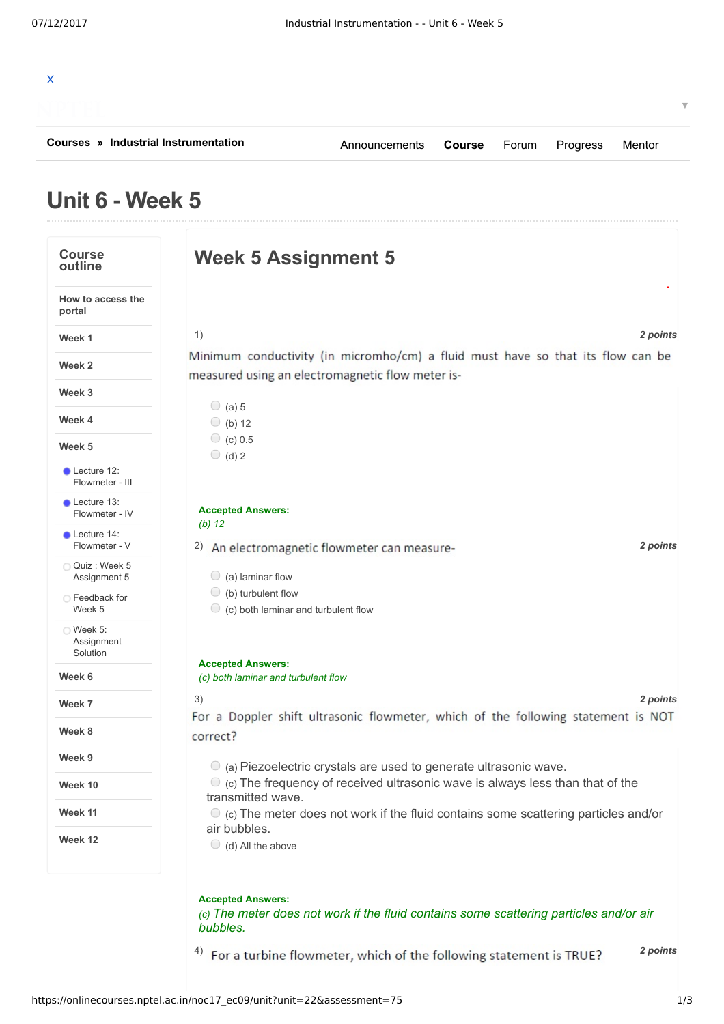| Courses » Industrial Instrumentation      |                                                                              | Announcements                                                                                                                                                     | <b>Course</b> | Forum | Progress | Mentor   |
|-------------------------------------------|------------------------------------------------------------------------------|-------------------------------------------------------------------------------------------------------------------------------------------------------------------|---------------|-------|----------|----------|
| Unit 6 - Week 5                           |                                                                              |                                                                                                                                                                   |               |       |          |          |
| <b>Course</b><br>outline                  |                                                                              | <b>Week 5 Assignment 5</b>                                                                                                                                        |               |       |          |          |
| How to access the<br>portal               |                                                                              |                                                                                                                                                                   |               |       |          |          |
| Week 1                                    | 1)                                                                           |                                                                                                                                                                   |               |       |          | 2 points |
| Week 2                                    |                                                                              | Minimum conductivity (in micromho/cm) a fluid must have so that its flow can be<br>measured using an electromagnetic flow meter is-                               |               |       |          |          |
| Week 3                                    |                                                                              |                                                                                                                                                                   |               |       |          |          |
| Week 4                                    | $\circ$ (a) 5<br>$\bigcirc$ (b) 12                                           |                                                                                                                                                                   |               |       |          |          |
| Week 5                                    | $\circ$ (c) 0.5                                                              |                                                                                                                                                                   |               |       |          |          |
| Lecture 12:<br>Flowmeter - III            | $\bigcirc$ (d) 2                                                             |                                                                                                                                                                   |               |       |          |          |
| Lecture 13:<br>Flowmeter - IV             | <b>Accepted Answers:</b>                                                     |                                                                                                                                                                   |               |       |          |          |
| Lecture 14:<br>Flowmeter - V              | $(b)$ 12                                                                     | 2) An electromagnetic flowmeter can measure-                                                                                                                      |               |       |          | 2 points |
| Quiz : Week 5<br>Assignment 5             | $\bigcirc$ (a) laminar flow                                                  |                                                                                                                                                                   |               |       |          |          |
| ○ Feedback for<br>Week 5                  | $\bigcirc$ (b) turbulent flow<br>$\circ$ (c) both laminar and turbulent flow |                                                                                                                                                                   |               |       |          |          |
| $\circ$ Week 5:<br>Assignment<br>Solution |                                                                              |                                                                                                                                                                   |               |       |          |          |
| Week 6                                    | <b>Accepted Answers:</b><br>(c) both laminar and turbulent flow              |                                                                                                                                                                   |               |       |          |          |
| Week 7                                    | 3)                                                                           |                                                                                                                                                                   |               |       |          | 2 points |
| Week 8                                    | correct?                                                                     | For a Doppler shift ultrasonic flowmeter, which of the following statement is NOT                                                                                 |               |       |          |          |
| Week 9                                    |                                                                              |                                                                                                                                                                   |               |       |          |          |
| Week 10                                   |                                                                              | $\circ$ (a) Piezoelectric crystals are used to generate ultrasonic wave.<br>$\circ$ (c) The frequency of received ultrasonic wave is always less than that of the |               |       |          |          |
| Week 11                                   | transmitted wave.                                                            | $\bullet$ (c) The meter does not work if the fluid contains some scattering particles and/or                                                                      |               |       |          |          |
| Week 12                                   | air bubbles.<br>$\bigcirc$ (d) All the above                                 |                                                                                                                                                                   |               |       |          |          |
|                                           |                                                                              |                                                                                                                                                                   |               |       |          |          |
|                                           | <b>Accepted Answers:</b><br>bubbles.                                         | (c) The meter does not work if the fluid contains some scattering particles and/or air                                                                            |               |       |          |          |
|                                           |                                                                              | <sup>4)</sup> For a turbine flowmeter, which of the following statement is TRUE?                                                                                  |               |       |          | 2 points |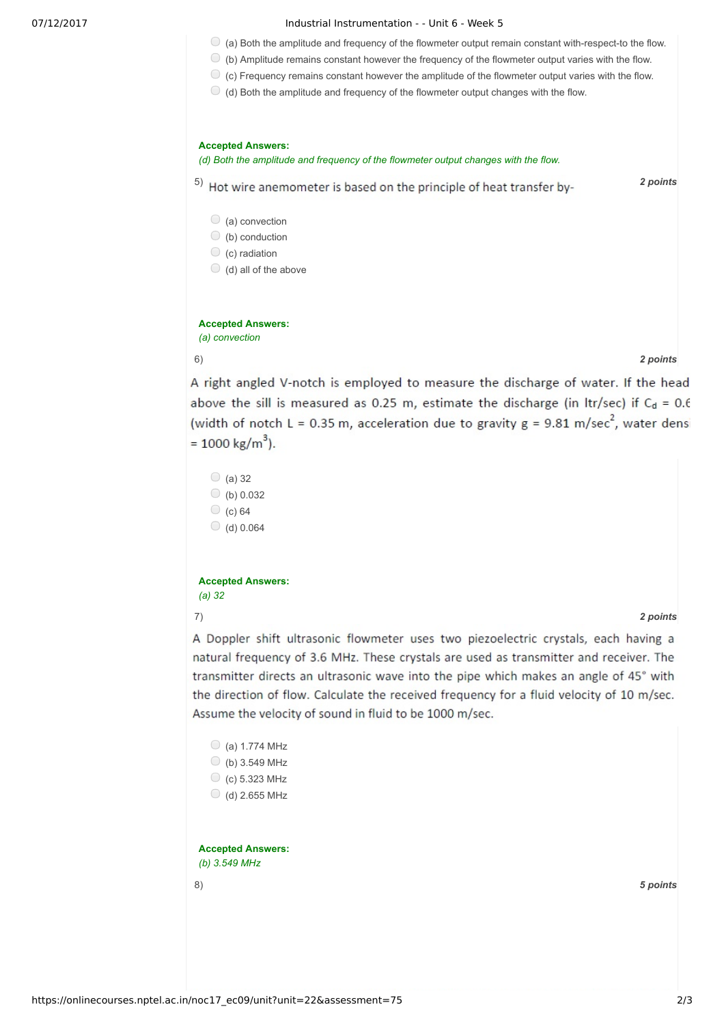## 07/12/2017 **Industrial Instrumentation - - Unit 6 - Week 5**

- $\bullet$  (a) Both the amplitude and frequency of the flowmeter output remain constant with-respect-to the flow.
- $\bigcirc$  (b) Amplitude remains constant however the frequency of the flowmeter output varies with the flow.
	- $\bullet$  (c) Frequency remains constant however the amplitude of the flowmeter output varies with the flow.
	- $\bigcirc$  (d) Both the amplitude and frequency of the flowmeter output changes with the flow.



 $\bigcirc$  (b) 0.032  $\bigcirc$  (c) 64  $\bigcirc$  (d) 0.064

## **Accepted Answers:** *(a) 32*

## 7) *2 points*

A Doppler shift ultrasonic flowmeter uses two piezoelectric crystals, each having a natural frequency of 3.6 MHz. These crystals are used as transmitter and receiver. The transmitter directs an ultrasonic wave into the pipe which makes an angle of 45° with the direction of flow. Calculate the received frequency for a fluid velocity of 10 m/sec. Assume the velocity of sound in fluid to be 1000 m/sec.

| (a) 1.774 MHz            |          |  |
|--------------------------|----------|--|
| (b) 3.549 MHz<br>$\cup$  |          |  |
| (c) 5.323 MHz<br>O       |          |  |
| (d) 2.655 MHz            |          |  |
|                          |          |  |
|                          |          |  |
| <b>Accepted Answers:</b> |          |  |
| (b) $3.549$ MHz          |          |  |
| 8)                       | 5 points |  |
|                          |          |  |